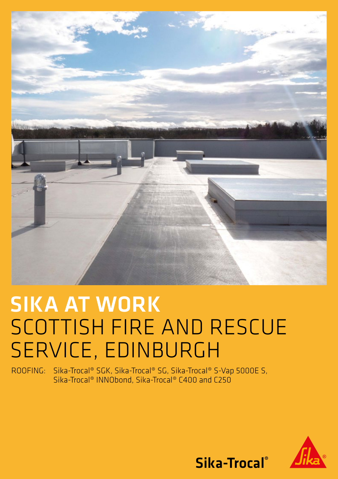

## SIKA AT WORK SCOTTISH FIRE AND RESCUE SERVICE, EDINBURGH

ROOFING: Sika-Trocal® SGK, Sika-Trocal® SG, Sika-Trocal® S-Vap 5000E S, Sika-Trocal® INNObond, Sika-Trocal® C400 and C250



Sika-Trocal®